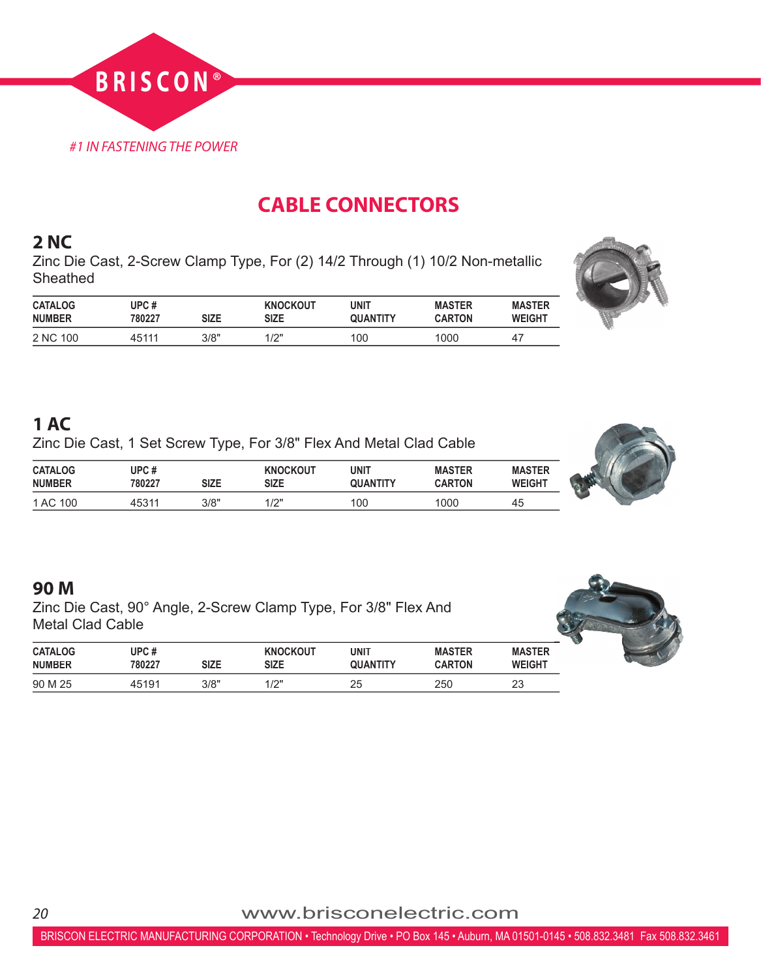

# **CABLE CONNECTORS**

#### **2 NC**

Zinc Die Cast, 2-Screw Clamp Type, For (2) 14/2 Through (1) 10/2 Non-metallic **Sheathed** 

| <b>CATALOG</b> | UPC #  | <b>SIZE</b> | <b>KNOCKOUT</b> | unit     | <b>MASTER</b> | <b>MASTER</b> |
|----------------|--------|-------------|-----------------|----------|---------------|---------------|
| <b>NUMBER</b>  | 780227 |             | <b>SIZE</b>     | QUANTITY | <b>CARTON</b> | <b>WEIGHT</b> |
| 2 NC 100       | 45111  | 3/8"        | 1/2"            | 100      | 1000          | $4^-$         |



## **1 AC**

Zinc Die Cast, 1 Set Screw Type, For 3/8" Flex And Metal Clad Cable

| <b>CATALOG</b> | UPC#   | <b>SIZE</b> | <b>KNOCKOUT</b> | unit     | <b>MASTER</b> | <b>MASTER</b> |
|----------------|--------|-------------|-----------------|----------|---------------|---------------|
| <b>NUMBER</b>  | 780227 |             | <b>SIZE</b>     | QUANTITY | <b>CARTON</b> | <b>WEIGHT</b> |
| 1 AC 100       | 45311  | 3/8"        | 1/2"            | 100      | 1000          | 45            |



## **90 M**

Zinc Die Cast, 90° Angle, 2-Screw Clamp Type, For 3/8" Flex And Metal Clad Cable

|                                 |                 |      |                         |                         |                                |                                | $\bullet$ |
|---------------------------------|-----------------|------|-------------------------|-------------------------|--------------------------------|--------------------------------|-----------|
| <b>CATALOG</b><br><b>NUMBER</b> | UPC #<br>780227 | size | <b>KNOCKOUT</b><br>size | UNIT<br><b>QUANTITY</b> | <b>MASTER</b><br><b>CARTON</b> | <b>MASTER</b><br><b>WEIGHT</b> |           |
| 90 M 25                         | 45191           | 3/8" | 1/2"                    | 25                      | 250                            | 23                             |           |



*<sup>20</sup>* www.brisconelectric.com

BRISCON ELECTRIC MANUFACTURING CORPORATION • Technology Drive • PO Box 145 • Auburn, MA 01501-0145 • 508.832.3481 Fax 508.832.3461